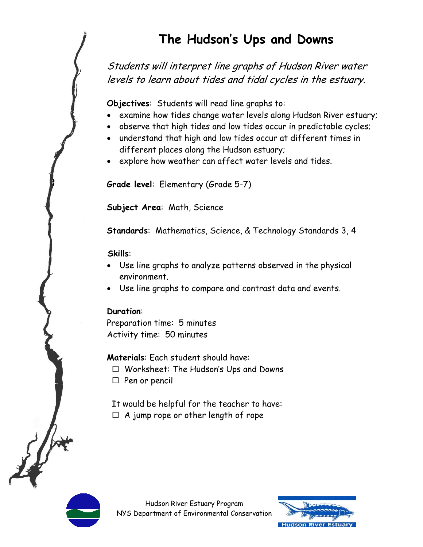# **The Hudson's Ups and Downs**

Students will interpret line graphs of Hudson River water levels to learn about tides and tidal cycles in the estuary.

**Objectives**: Students will read line graphs to:

- examine how tides change water levels along Hudson River estuary;
- observe that high tides and low tides occur in predictable cycles;
- understand that high and low tides occur at different times in different places along the Hudson estuary;
- explore how weather can affect water levels and tides.

**Grade level**: Elementary (Grade 5-7)

**Subject Area**: Math, Science

**Standards**: Mathematics, Science, & Technology Standards 3, 4

#### **Skills**:

- Use line graphs to analyze patterns observed in the physical environment.
- Use line graphs to compare and contrast data and events.

#### **Duration**:

Preparation time: 5 minutes Activity time: 50 minutes

**Materials**: Each student should have:

- Worksheet: The Hudson's Ups and Downs
- $\Box$  Pen or pencil
- It would be helpful for the teacher to have:
- $\Box$  A jump rope or other length of rope



Hudson River Estuary Program NYS Department of Environmental Conservation

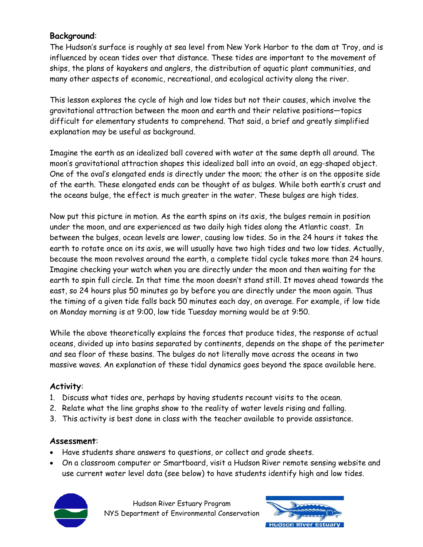## **Background**:

The Hudson's surface is roughly at sea level from New York Harbor to the dam at Troy, and is influenced by ocean tides over that distance. These tides are important to the movement of ships, the plans of kayakers and anglers, the distribution of aquatic plant communities, and many other aspects of economic, recreational, and ecological activity along the river.

This lesson explores the cycle of high and low tides but not their causes, which involve the gravitational attraction between the moon and earth and their relative positions—topics difficult for elementary students to comprehend. That said, a brief and greatly simplified explanation may be useful as background.

Imagine the earth as an idealized ball covered with water at the same depth all around. The moon's gravitational attraction shapes this idealized ball into an ovoid, an egg-shaped object. One of the oval's elongated ends is directly under the moon; the other is on the opposite side of the earth. These elongated ends can be thought of as bulges. While both earth's crust and the oceans bulge, the effect is much greater in the water. These bulges are high tides.

Now put this picture in motion. As the earth spins on its axis, the bulges remain in position under the moon, and are experienced as two daily high tides along the Atlantic coast. In between the bulges, ocean levels are lower, causing low tides. So in the 24 hours it takes the earth to rotate once on its axis, we will usually have two high tides and two low tides. Actually, because the moon revolves around the earth, a complete tidal cycle takes more than 24 hours. Imagine checking your watch when you are directly under the moon and then waiting for the earth to spin full circle. In that time the moon doesn't stand still. It moves ahead towards the east, so 24 hours plus 50 minutes go by before you are directly under the moon again. Thus the timing of a given tide falls back 50 minutes each day, on average. For example, if low tide on Monday morning is at 9:00, low tide Tuesday morning would be at 9:50.

While the above theoretically explains the forces that produce tides, the response of actual oceans, divided up into basins separated by continents, depends on the shape of the perimeter and sea floor of these basins. The bulges do not literally move across the oceans in two massive waves. An explanation of these tidal dynamics goes beyond the space available here.

## **Activity**:

- 1. Discuss what tides are, perhaps by having students recount visits to the ocean.
- 2. Relate what the line graphs show to the reality of water levels rising and falling.
- 3. This activity is best done in class with the teacher available to provide assistance.

## **Assessment**:

- Have students share answers to questions, or collect and grade sheets.
- On a classroom computer or Smartboard, visit a Hudson River remote sensing website and use current water level data (see below) to have students identify high and low tides.



Hudson River Estuary Program NYS Department of Environmental Conservation

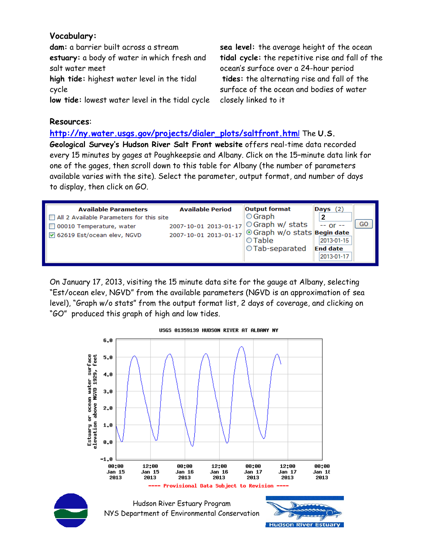## **Vocabulary:**

**dam:** a barrier built across a stream **estuary:** a body of water in which fresh and salt water meet **high tide:** highest water level in the tidal cycle **low tide:** lowest water level in the tidal cycle

**sea level:** the average height of the ocean **tidal cycle:** the repetitive rise and fall of the ocean's surface over a 24-hour period **tides:** the alternating rise and fall of the surface of the ocean and bodies of water closely linked to it

#### **Resources**:

**http://ny.water.usgs.gov/projects/dialer\_plots/saltfront.htm**l The **U.S.** 

**Geological Survey's Hudson River Salt Front website** offers real-time data recorded every 15 minutes by gages at Poughkeepsie and Albany. Click on the 15–minute data link for one of the gages, then scroll down to this table for Albany (the number of parameters available varies with the site). Select the parameter, output format, and number of days to display, then click on GO.

| <b>Available Parameters</b><br>All 2 Available Parameters for this site<br>□ 00010 Temperature, water<br>☑ 62619 Est/ocean elev, NGVD | <b>Available Period</b><br>2007-10-01 2013-01-17<br>2007-10-01 2013-01-17 | <b>Output format</b><br>$\bigcirc$ Graph<br>$\circ$ Graph w/ stats<br>  ⊙ Graph w/o stats Begin date | Days $(2)$<br>2<br>$- -$ or $-$             | GO |
|---------------------------------------------------------------------------------------------------------------------------------------|---------------------------------------------------------------------------|------------------------------------------------------------------------------------------------------|---------------------------------------------|----|
|                                                                                                                                       |                                                                           | OTable<br>○Tab-separated                                                                             | 2013-01-15<br><b>End date</b><br>2013-01-17 |    |

On January 17, 2013, visiting the 15 minute data site for the gauge at Albany, selecting "Est/ocean elev, NGVD" from the available parameters (NGVD is an approximation of sea level), "Graph w/o stats" from the output format list, 2 days of coverage, and clicking on "GO" produced this graph of high and low tides.

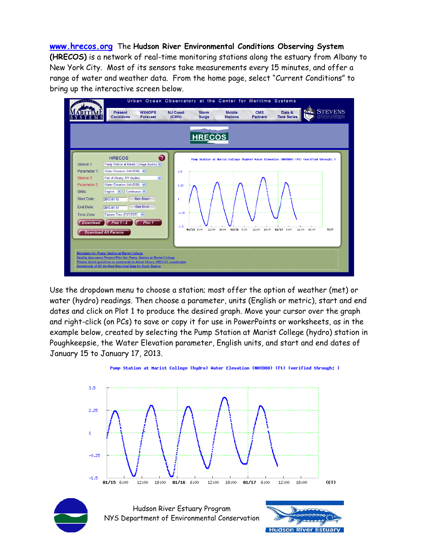**www.hrecos.org** The **Hudson River Environmental Conditions Observing System (HRECOS)** is a network of real-time monitoring stations along the estuary from Albany to New York City. Most of its sensors take measurements every 15 minutes, and offer a range of water and weather data. From the home page, select "Current Conditions" to bring up the interactive screen below.



Use the dropdown menu to choose a station; most offer the option of weather (met) or water (hydro) readings. Then choose a parameter, units (English or metric), start and end dates and click on Plot 1 to produce the desired graph. Move your cursor over the graph and right-click (on PCs) to save or copy it for use in PowerPoints or worksheets, as in the example below, created by selecting the Pump Station at Marist College (hydro) station in Poughkeepsie, the Water Elevation parameter, English units, and start and end dates of January 15 to January 17, 2013.



Punp Station at Marist College (hydro) Water Elevation (NAVD88) (ft) (verified through; )



Hudson River Estuary Program NYS Department of Environmental Conservation

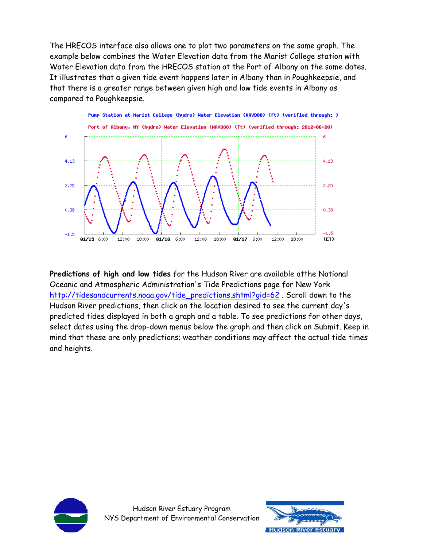The HRECOS interface also allows one to plot two parameters on the same graph. The example below combines the Water Elevation data from the Marist College station with Water Elevation data from the HRECOS station at the Port of Albany on the same dates. It illustrates that a given tide event happens later in Albany than in Poughkeepsie, and that there is a greater range between given high and low tide events in Albany as compared to Poughkeepsie.



**Predictions of high and low tides** for the Hudson River are available atthe National Oceanic and Atmospheric Administration's Tide Predictions page for New York http://tidesandcurrents.noaa.gov/tide\_predictions.shtml?gid=62. Scroll down to the Hudson River predictions, then click on the location desired to see the current day's predicted tides displayed in both a graph and a table. To see predictions for other days, select dates using the drop-down menus below the graph and then click on Submit. Keep in mind that these are only predictions; weather conditions may affect the actual tide times and heights.



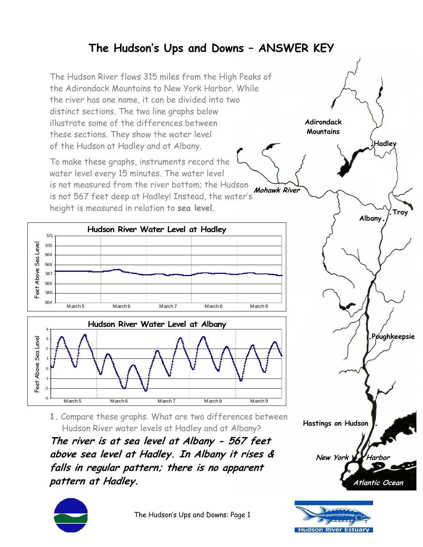# **The Hudson's Ups and Downs – ANSWER KEY**

The Hudson River flows 315 miles from the High Peaks of the Adirondack Mountains to New York Harbor. While the river has one name, it can be divided into two distinct sections. The two line graphs below illustrate some of the differences between these sections. They show the water level of the Hudson at Hadley and at Albany.

To make these graphs, instruments record the water level every 15 minutes. The water level is not measured from the river bottom; the Hudson is not 567 feet deep at Hadley! Instead, the water's height is measured in relation to **sea level**.





**1.** Compare these graphs. What are two differences between Hudson River water levels at Hadley and at Albany?

**The river is at sea level at Albany - 567 feet above sea level at Hadley. In Albany it rises & falls in regular pattern; there is no apparent pattern at Hadley.** 



The Hudson's Ups and Downs: Page 1



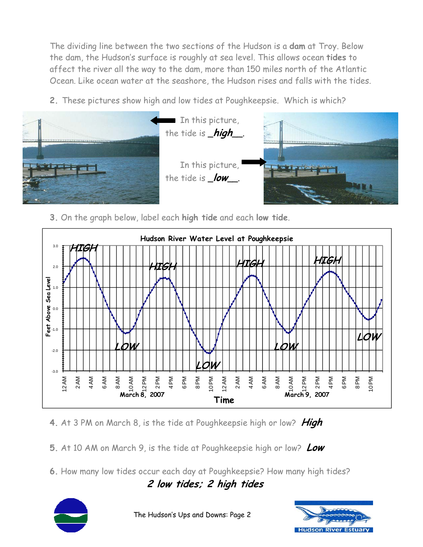The dividing line between the two sections of the Hudson is a **dam** at Troy. Below the dam, the Hudson's surface is roughly at sea level. This allows ocean **tides** to affect the river all the way to the dam, more than 150 miles north of the Atlantic Ocean. Like ocean water at the seashore, the Hudson rises and falls with the tides.

**2.** These pictures show high and low tides at Poughkeepsie. Which is which?



**3.** On the graph below, label each **high tide** and each **low tide**.



- **4.** At 3 PM on March 8, is the tide at Poughkeepsie high or low? **High**
- **5.** At 10 AM on March 9, is the tide at Poughkeepsie high or low? **Low**
- **6.** How many low tides occur each day at Poughkeepsie? How many high tides?

**2 low tides; 2 high tides**



The Hudson's Ups and Downs: Page 2

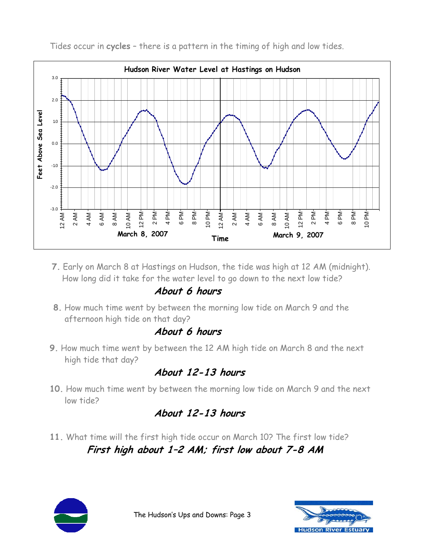

Tides occur in **cycles** – there is a pattern in the timing of high and low tides.

**7.** Early on March 8 at Hastings on Hudson, the tide was high at 12 AM (midnight). How long did it take for the water level to go down to the next low tide?

# **About 6 hours**

 **8.** How much time went by between the morning low tide on March 9 and the afternoon high tide on that day?

# **About 6 hours**

**9.** How much time went by between the 12 AM high tide on March 8 and the next high tide that day?

# **About 12-13 hours**

**10.** How much time went by between the morning low tide on March 9 and the next low tide?

# **About 12-13 hours**

**11.** What time will the first high tide occur on March 10? The first low tide?  **First high about 1–2 AM; first low about 7-8 AM**



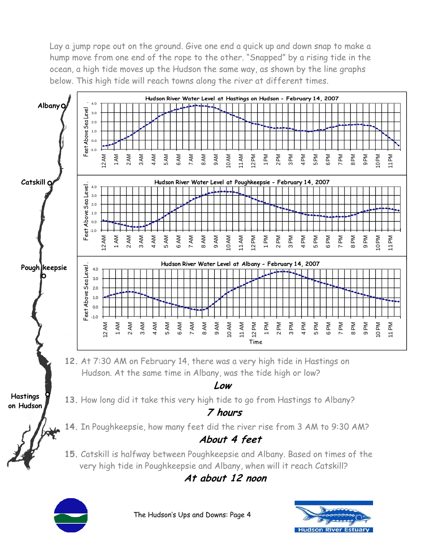Lay a jump rope out on the ground. Give one end a quick up and down snap to make a hump move from one end of the rope to the other. "Snapped" by a rising tide in the ocean, a high tide moves up the Hudson the same way, as shown by the line graphs below. This high tide will reach towns along the river at different times.



The Hudson's Ups and Downs: Page 4

**Hudson River** 

Estuar